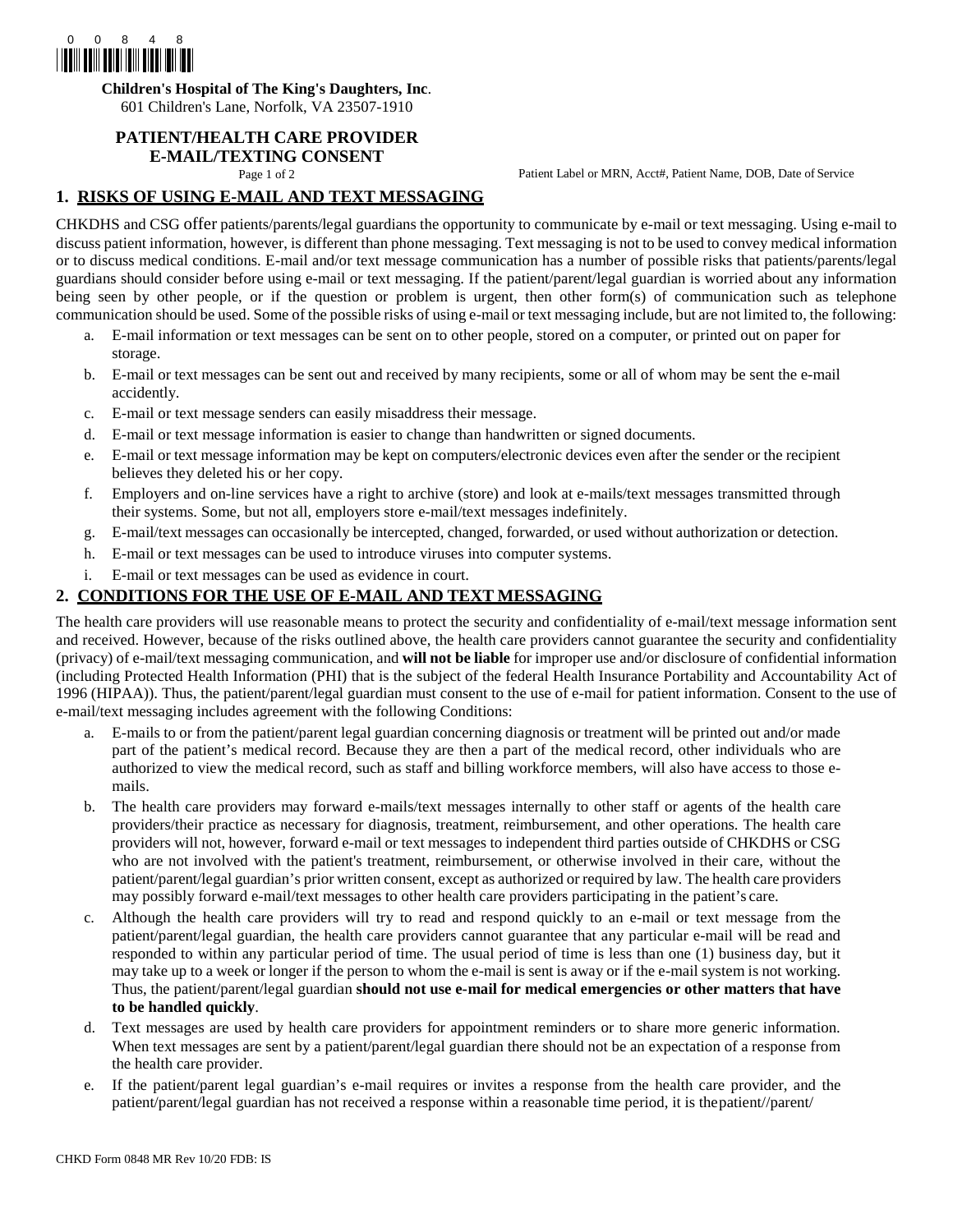

**Children's Hospital of The King's Daughters, Inc**.

601 Children's Lane, Norfolk, VA 23507-1910

## **PATIENT/HEALTH CARE PROVIDER**

# **E-MAIL/TEXTING CONSENT**<br>Page 1 of 2

Patient Label or MRN, Acct#, Patient Name, DOB, Date of Service

### **1. RISKS OF USING E-MAIL AND TEXT MESSAGING**

CHKDHS and CSG offer patients/parents/legal guardians the opportunity to communicate by e-mail or text messaging. Using e-mail to discuss patient information, however, is different than phone messaging. Text messaging is not to be used to convey medical information or to discuss medical conditions. E-mail and/or text message communication has a number of possible risks that patients/parents/legal guardians should consider before using e-mail or text messaging. If the patient/parent/legal guardian is worried about any information being seen by other people, or if the question or problem is urgent, then other form(s) of communication such as telephone communication should be used. Some of the possible risks of using e-mail or text messaging include, but are not limited to, the following:

- a. E-mail information or text messages can be sent on to other people, stored on a computer, or printed out on paper for storage.
- b. E-mail or text messages can be sent out and received by many recipients, some or all of whom may be sent the e-mail accidently.
- c. E-mail or text message senders can easily misaddress their message.
- d. E-mail or text message information is easier to change than handwritten or signed documents.
- e. E-mail or text message information may be kept on computers/electronic devices even after the sender or the recipient believes they deleted his or her copy.
- f. Employers and on-line services have a right to archive (store) and look at e-mails/text messages transmitted through their systems. Some, but not all, employers store e-mail/text messages indefinitely.
- g. E-mail/text messages can occasionally be intercepted, changed, forwarded, or used without authorization or detection.
- h. E-mail or text messages can be used to introduce viruses into computer systems.
- i. E-mail or text messages can be used as evidence in court.

#### **2. CONDITIONS FOR THE USE OF E-MAIL AND TEXT MESSAGING**

The health care providers will use reasonable means to protect the security and confidentiality of e-mail/text message information sent and received. However, because of the risks outlined above, the health care providers cannot guarantee the security and confidentiality (privacy) of e-mail/text messaging communication, and **will not be liable** for improper use and/or disclosure of confidential information (including Protected Health Information (PHI) that is the subject of the federal Health Insurance Portability and Accountability Act of 1996 (HIPAA)). Thus, the patient/parent/legal guardian must consent to the use of e-mail for patient information. Consent to the use of e-mail/text messaging includes agreement with the following Conditions:

- a. E-mails to or from the patient/parent legal guardian concerning diagnosis or treatment will be printed out and/or made part of the patient's medical record. Because they are then a part of the medical record, other individuals who are authorized to view the medical record, such as staff and billing workforce members, will also have access to those emails.
- b. The health care providers may forward e-mails/text messages internally to other staff or agents of the health care providers/their practice as necessary for diagnosis, treatment, reimbursement, and other operations. The health care providers will not, however, forward e-mail or text messages to independent third parties outside of CHKDHS or CSG who are not involved with the patient's treatment, reimbursement, or otherwise involved in their care, without the patient/parent/legal guardian's prior written consent, except as authorized or required by law. The health care providers may possibly forward e-mail/text messages to other health care providers participating in the patient's care.
- c. Although the health care providers will try to read and respond quickly to an e-mail or text message from the patient/parent/legal guardian, the health care providers cannot guarantee that any particular e-mail will be read and responded to within any particular period of time. The usual period of time is less than one (1) business day, but it may take up to a week or longer if the person to whom the e-mail is sent is away or if the e-mail system is not working. Thus, the patient/parent/legal guardian **should not use e-mail for medical emergencies or other matters that have to be handled quickly**.
- d. Text messages are used by health care providers for appointment reminders or to share more generic information. When text messages are sent by a patient/parent/legal guardian there should not be an expectation of a response from the health care provider.
- e. If the patient/parent legal guardian's e-mail requires or invites a response from the health care provider, and the patient/parent/legal guardian has not received a response within a reasonable time period, it is thepatient//parent/